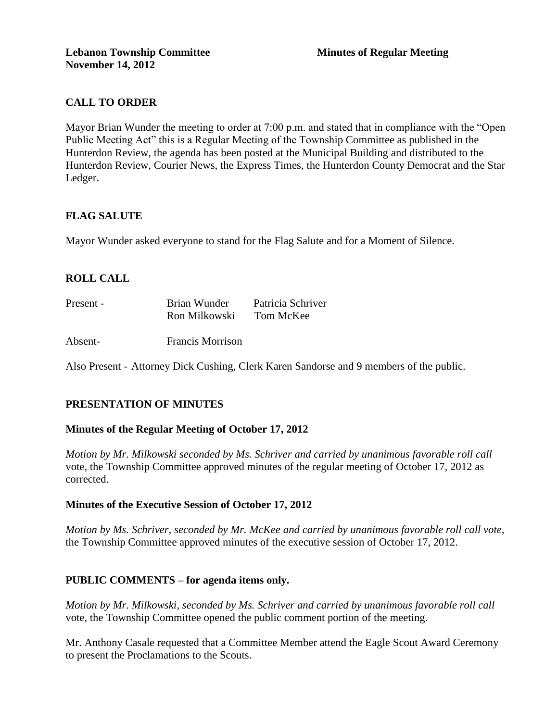# **CALL TO ORDER**

Mayor Brian Wunder the meeting to order at 7:00 p.m. and stated that in compliance with the "Open Public Meeting Act" this is a Regular Meeting of the Township Committee as published in the Hunterdon Review, the agenda has been posted at the Municipal Building and distributed to the Hunterdon Review, Courier News, the Express Times, the Hunterdon County Democrat and the Star Ledger.

### **FLAG SALUTE**

Mayor Wunder asked everyone to stand for the Flag Salute and for a Moment of Silence.

# **ROLL CALL**

| Present - | Brian Wunder  | Patricia Schriver |
|-----------|---------------|-------------------|
|           | Ron Milkowski | Tom McKee         |

Absent- Francis Morrison

Also Present - Attorney Dick Cushing, Clerk Karen Sandorse and 9 members of the public.

### **PRESENTATION OF MINUTES**

### **Minutes of the Regular Meeting of October 17, 2012**

*Motion by Mr. Milkowski seconded by Ms. Schriver and carried by unanimous favorable roll call*  vote, the Township Committee approved minutes of the regular meeting of October 17, 2012 as corrected.

### **Minutes of the Executive Session of October 17, 2012**

*Motion by Ms. Schriver, seconded by Mr. McKee and carried by unanimous favorable roll call vote,* the Township Committee approved minutes of the executive session of October 17, 2012.

### **PUBLIC COMMENTS – for agenda items only.**

*Motion by Mr. Milkowski, seconded by Ms. Schriver and carried by unanimous favorable roll call*  vote*,* the Township Committee opened the public comment portion of the meeting.

Mr. Anthony Casale requested that a Committee Member attend the Eagle Scout Award Ceremony to present the Proclamations to the Scouts.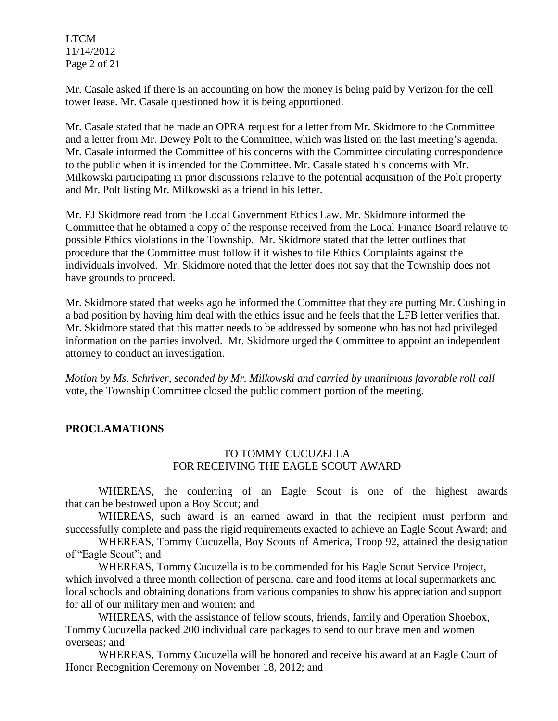LTCM 11/14/2012 Page 2 of 21

Mr. Casale asked if there is an accounting on how the money is being paid by Verizon for the cell tower lease. Mr. Casale questioned how it is being apportioned.

Mr. Casale stated that he made an OPRA request for a letter from Mr. Skidmore to the Committee and a letter from Mr. Dewey Polt to the Committee, which was listed on the last meeting's agenda. Mr. Casale informed the Committee of his concerns with the Committee circulating correspondence to the public when it is intended for the Committee. Mr. Casale stated his concerns with Mr. Milkowski participating in prior discussions relative to the potential acquisition of the Polt property and Mr. Polt listing Mr. Milkowski as a friend in his letter.

Mr. EJ Skidmore read from the Local Government Ethics Law. Mr. Skidmore informed the Committee that he obtained a copy of the response received from the Local Finance Board relative to possible Ethics violations in the Township. Mr. Skidmore stated that the letter outlines that procedure that the Committee must follow if it wishes to file Ethics Complaints against the individuals involved. Mr. Skidmore noted that the letter does not say that the Township does not have grounds to proceed.

Mr. Skidmore stated that weeks ago he informed the Committee that they are putting Mr. Cushing in a bad position by having him deal with the ethics issue and he feels that the LFB letter verifies that. Mr. Skidmore stated that this matter needs to be addressed by someone who has not had privileged information on the parties involved. Mr. Skidmore urged the Committee to appoint an independent attorney to conduct an investigation.

*Motion by Ms. Schriver, seconded by Mr. Milkowski and carried by unanimous favorable roll call*  vote*,* the Township Committee closed the public comment portion of the meeting.

# **PROCLAMATIONS**

### TO TOMMY CUCUZELLA FOR RECEIVING THE EAGLE SCOUT AWARD

WHEREAS, the conferring of an Eagle Scout is one of the highest awards that can be bestowed upon a Boy Scout; and

WHEREAS, such award is an earned award in that the recipient must perform and successfully complete and pass the rigid requirements exacted to achieve an Eagle Scout Award; and

WHEREAS, Tommy Cucuzella, Boy Scouts of America, Troop 92, attained the designation of "Eagle Scout"; and

WHEREAS, Tommy Cucuzella is to be commended for his Eagle Scout Service Project, which involved a three month collection of personal care and food items at local supermarkets and local schools and obtaining donations from various companies to show his appreciation and support for all of our military men and women; and

WHEREAS, with the assistance of fellow scouts, friends, family and Operation Shoebox, Tommy Cucuzella packed 200 individual care packages to send to our brave men and women overseas; and

WHEREAS, Tommy Cucuzella will be honored and receive his award at an Eagle Court of Honor Recognition Ceremony on November 18, 2012; and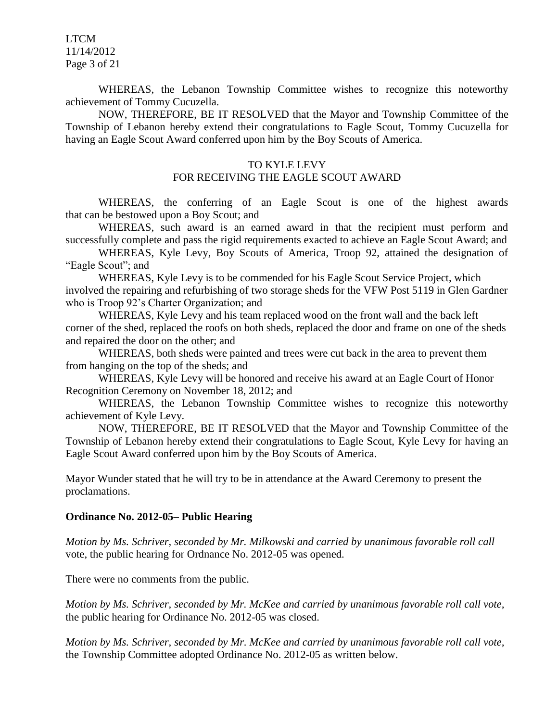LTCM 11/14/2012 Page 3 of 21

WHEREAS, the Lebanon Township Committee wishes to recognize this noteworthy achievement of Tommy Cucuzella.

NOW, THEREFORE, BE IT RESOLVED that the Mayor and Township Committee of the Township of Lebanon hereby extend their congratulations to Eagle Scout, Tommy Cucuzella for having an Eagle Scout Award conferred upon him by the Boy Scouts of America.

#### TO KYLE LEVY

### FOR RECEIVING THE EAGLE SCOUT AWARD

WHEREAS, the conferring of an Eagle Scout is one of the highest awards that can be bestowed upon a Boy Scout; and

WHEREAS, such award is an earned award in that the recipient must perform and successfully complete and pass the rigid requirements exacted to achieve an Eagle Scout Award; and

WHEREAS, Kyle Levy, Boy Scouts of America, Troop 92, attained the designation of "Eagle Scout"; and

WHEREAS, Kyle Levy is to be commended for his Eagle Scout Service Project, which involved the repairing and refurbishing of two storage sheds for the VFW Post 5119 in Glen Gardner who is Troop 92's Charter Organization; and

WHEREAS, Kyle Levy and his team replaced wood on the front wall and the back left corner of the shed, replaced the roofs on both sheds, replaced the door and frame on one of the sheds and repaired the door on the other; and

WHEREAS, both sheds were painted and trees were cut back in the area to prevent them from hanging on the top of the sheds; and

WHEREAS, Kyle Levy will be honored and receive his award at an Eagle Court of Honor Recognition Ceremony on November 18, 2012; and

WHEREAS, the Lebanon Township Committee wishes to recognize this noteworthy achievement of Kyle Levy.

NOW, THEREFORE, BE IT RESOLVED that the Mayor and Township Committee of the Township of Lebanon hereby extend their congratulations to Eagle Scout, Kyle Levy for having an Eagle Scout Award conferred upon him by the Boy Scouts of America.

Mayor Wunder stated that he will try to be in attendance at the Award Ceremony to present the proclamations.

#### **Ordinance No. 2012-05– Public Hearing**

*Motion by Ms. Schriver, seconded by Mr. Milkowski and carried by unanimous favorable roll call*  vote, the public hearing for Ordnance No. 2012-05 was opened.

There were no comments from the public.

*Motion by Ms. Schriver, seconded by Mr. McKee and carried by unanimous favorable roll call vote,* the public hearing for Ordinance No. 2012-05 was closed.

*Motion by Ms. Schriver, seconded by Mr. McKee and carried by unanimous favorable roll call vote,* the Township Committee adopted Ordinance No. 2012-05 as written below.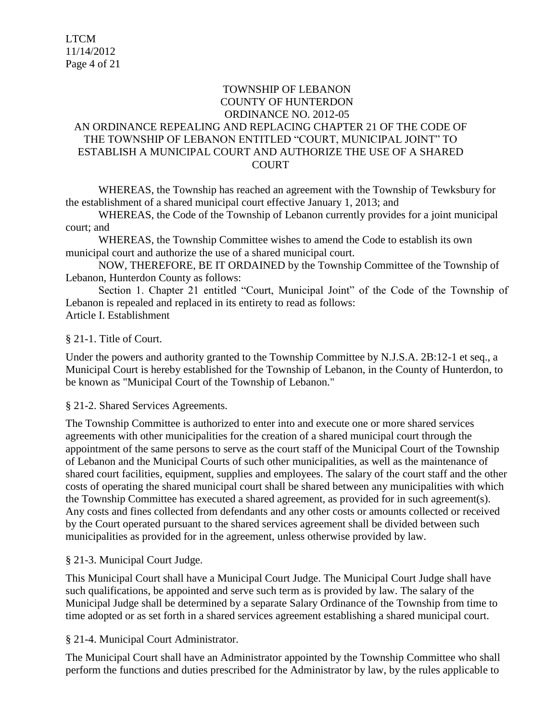### TOWNSHIP OF LEBANON COUNTY OF HUNTERDON ORDINANCE NO. 2012-05

# AN ORDINANCE REPEALING AND REPLACING CHAPTER 21 OF THE CODE OF THE TOWNSHIP OF LEBANON ENTITLED "COURT, MUNICIPAL JOINT" TO ESTABLISH A MUNICIPAL COURT AND AUTHORIZE THE USE OF A SHARED **COURT**

WHEREAS, the Township has reached an agreement with the Township of Tewksbury for the establishment of a shared municipal court effective January 1, 2013; and

WHEREAS, the Code of the Township of Lebanon currently provides for a joint municipal court; and

WHEREAS, the Township Committee wishes to amend the Code to establish its own municipal court and authorize the use of a shared municipal court.

NOW, THEREFORE, BE IT ORDAINED by the Township Committee of the Township of Lebanon, Hunterdon County as follows:

Section 1. Chapter 21 entitled "Court, Municipal Joint" of the Code of the Township of Lebanon is repealed and replaced in its entirety to read as follows: Article I. Establishment

§ 21-1. Title of Court.

Under the powers and authority granted to the Township Committee by N.J.S.A. 2B:12-1 et seq., a Municipal Court is hereby established for the Township of Lebanon, in the County of Hunterdon, to be known as "Municipal Court of the Township of Lebanon."

### § 21-2. Shared Services Agreements.

The Township Committee is authorized to enter into and execute one or more shared services agreements with other municipalities for the creation of a shared municipal court through the appointment of the same persons to serve as the court staff of the Municipal Court of the Township of Lebanon and the Municipal Courts of such other municipalities, as well as the maintenance of shared court facilities, equipment, supplies and employees. The salary of the court staff and the other costs of operating the shared municipal court shall be shared between any municipalities with which the Township Committee has executed a shared agreement, as provided for in such agreement(s). Any costs and fines collected from defendants and any other costs or amounts collected or received by the Court operated pursuant to the shared services agreement shall be divided between such municipalities as provided for in the agreement, unless otherwise provided by law.

# § 21-3. Municipal Court Judge.

This Municipal Court shall have a Municipal Court Judge. The Municipal Court Judge shall have such qualifications, be appointed and serve such term as is provided by law. The salary of the Municipal Judge shall be determined by a separate Salary Ordinance of the Township from time to time adopted or as set forth in a shared services agreement establishing a shared municipal court.

§ 21-4. Municipal Court Administrator.

The Municipal Court shall have an Administrator appointed by the Township Committee who shall perform the functions and duties prescribed for the Administrator by law, by the rules applicable to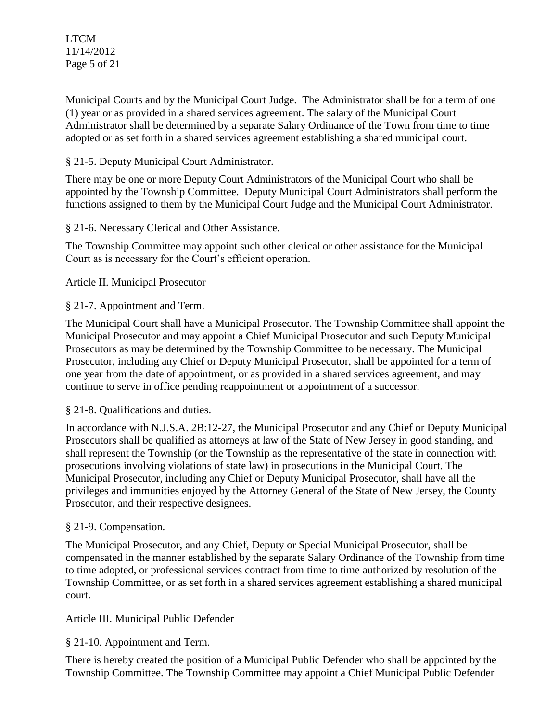LTCM 11/14/2012 Page 5 of 21

Municipal Courts and by the Municipal Court Judge. The Administrator shall be for a term of one (1) year or as provided in a shared services agreement. The salary of the Municipal Court Administrator shall be determined by a separate Salary Ordinance of the Town from time to time adopted or as set forth in a shared services agreement establishing a shared municipal court.

# § 21-5. Deputy Municipal Court Administrator.

There may be one or more Deputy Court Administrators of the Municipal Court who shall be appointed by the Township Committee. Deputy Municipal Court Administrators shall perform the functions assigned to them by the Municipal Court Judge and the Municipal Court Administrator.

# § 21-6. Necessary Clerical and Other Assistance.

The Township Committee may appoint such other clerical or other assistance for the Municipal Court as is necessary for the Court's efficient operation.

### Article II. Municipal Prosecutor

### § 21-7. Appointment and Term.

The Municipal Court shall have a Municipal Prosecutor. The Township Committee shall appoint the Municipal Prosecutor and may appoint a Chief Municipal Prosecutor and such Deputy Municipal Prosecutors as may be determined by the Township Committee to be necessary. The Municipal Prosecutor, including any Chief or Deputy Municipal Prosecutor, shall be appointed for a term of one year from the date of appointment, or as provided in a shared services agreement, and may continue to serve in office pending reappointment or appointment of a successor.

### § 21-8. Qualifications and duties.

In accordance with N.J.S.A. 2B:12-27, the Municipal Prosecutor and any Chief or Deputy Municipal Prosecutors shall be qualified as attorneys at law of the State of New Jersey in good standing, and shall represent the Township (or the Township as the representative of the state in connection with prosecutions involving violations of state law) in prosecutions in the Municipal Court. The Municipal Prosecutor, including any Chief or Deputy Municipal Prosecutor, shall have all the privileges and immunities enjoyed by the Attorney General of the State of New Jersey, the County Prosecutor, and their respective designees.

### § 21-9. Compensation.

The Municipal Prosecutor, and any Chief, Deputy or Special Municipal Prosecutor, shall be compensated in the manner established by the separate Salary Ordinance of the Township from time to time adopted, or professional services contract from time to time authorized by resolution of the Township Committee, or as set forth in a shared services agreement establishing a shared municipal court.

Article III. Municipal Public Defender

# § 21-10. Appointment and Term.

There is hereby created the position of a Municipal Public Defender who shall be appointed by the Township Committee. The Township Committee may appoint a Chief Municipal Public Defender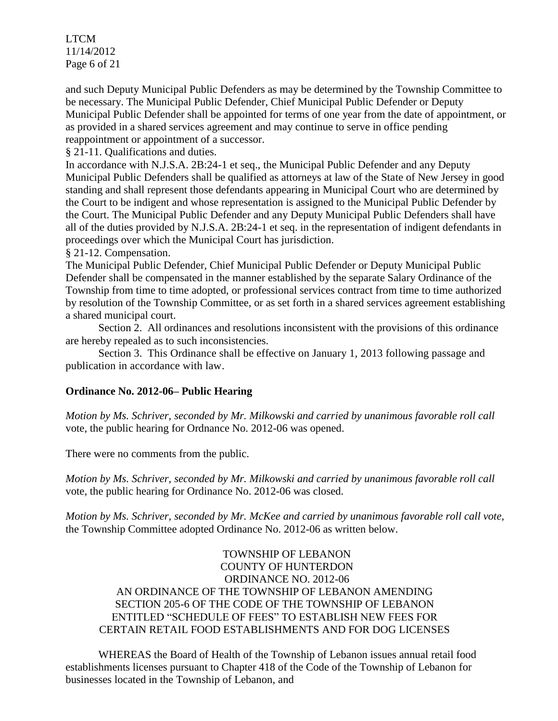LTCM 11/14/2012 Page 6 of 21

and such Deputy Municipal Public Defenders as may be determined by the Township Committee to be necessary. The Municipal Public Defender, Chief Municipal Public Defender or Deputy Municipal Public Defender shall be appointed for terms of one year from the date of appointment, or as provided in a shared services agreement and may continue to serve in office pending reappointment or appointment of a successor.

§ 21-11. Qualifications and duties.

In accordance with N.J.S.A. 2B:24-1 et seq., the Municipal Public Defender and any Deputy Municipal Public Defenders shall be qualified as attorneys at law of the State of New Jersey in good standing and shall represent those defendants appearing in Municipal Court who are determined by the Court to be indigent and whose representation is assigned to the Municipal Public Defender by the Court. The Municipal Public Defender and any Deputy Municipal Public Defenders shall have all of the duties provided by N.J.S.A. 2B:24-1 et seq. in the representation of indigent defendants in proceedings over which the Municipal Court has jurisdiction.

§ 21-12. Compensation.

The Municipal Public Defender, Chief Municipal Public Defender or Deputy Municipal Public Defender shall be compensated in the manner established by the separate Salary Ordinance of the Township from time to time adopted, or professional services contract from time to time authorized by resolution of the Township Committee, or as set forth in a shared services agreement establishing a shared municipal court.

Section 2. All ordinances and resolutions inconsistent with the provisions of this ordinance are hereby repealed as to such inconsistencies.

Section 3. This Ordinance shall be effective on January 1, 2013 following passage and publication in accordance with law.

# **Ordinance No. 2012-06– Public Hearing**

*Motion by Ms. Schriver, seconded by Mr. Milkowski and carried by unanimous favorable roll call*  vote, the public hearing for Ordnance No. 2012-06 was opened.

There were no comments from the public.

*Motion by Ms. Schriver, seconded by Mr. Milkowski and carried by unanimous favorable roll call*  vote, the public hearing for Ordinance No. 2012-06 was closed.

*Motion by Ms. Schriver, seconded by Mr. McKee and carried by unanimous favorable roll call vote,* the Township Committee adopted Ordinance No. 2012-06 as written below.

TOWNSHIP OF LEBANON COUNTY OF HUNTERDON ORDINANCE NO. 2012-06 AN ORDINANCE OF THE TOWNSHIP OF LEBANON AMENDING SECTION 205-6 OF THE CODE OF THE TOWNSHIP OF LEBANON ENTITLED "SCHEDULE OF FEES" TO ESTABLISH NEW FEES FOR CERTAIN RETAIL FOOD ESTABLISHMENTS AND FOR DOG LICENSES

WHEREAS the Board of Health of the Township of Lebanon issues annual retail food establishments licenses pursuant to Chapter 418 of the Code of the Township of Lebanon for businesses located in the Township of Lebanon, and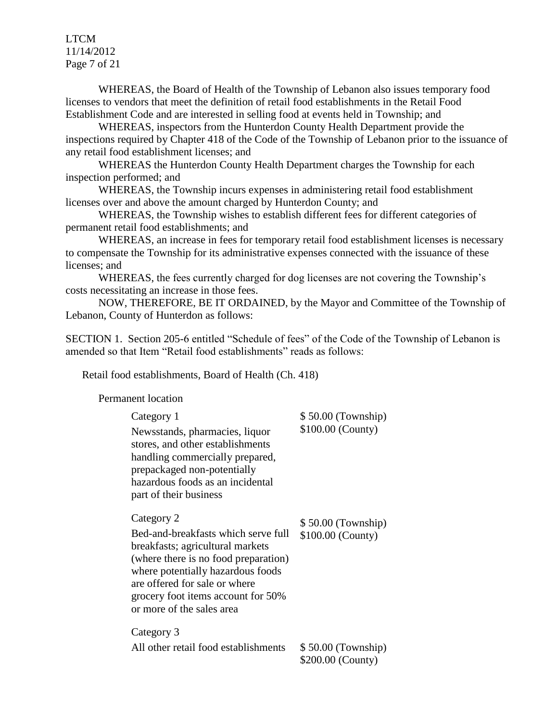LTCM 11/14/2012 Page 7 of 21

WHEREAS, the Board of Health of the Township of Lebanon also issues temporary food licenses to vendors that meet the definition of retail food establishments in the Retail Food Establishment Code and are interested in selling food at events held in Township; and

WHEREAS, inspectors from the Hunterdon County Health Department provide the inspections required by Chapter 418 of the Code of the Township of Lebanon prior to the issuance of any retail food establishment licenses; and

WHEREAS the Hunterdon County Health Department charges the Township for each inspection performed; and

WHEREAS, the Township incurs expenses in administering retail food establishment licenses over and above the amount charged by Hunterdon County; and

WHEREAS, the Township wishes to establish different fees for different categories of permanent retail food establishments; and

WHEREAS, an increase in fees for temporary retail food establishment licenses is necessary to compensate the Township for its administrative expenses connected with the issuance of these licenses; and

WHEREAS, the fees currently charged for dog licenses are not covering the Township's costs necessitating an increase in those fees.

NOW, THEREFORE, BE IT ORDAINED, by the Mayor and Committee of the Township of Lebanon, County of Hunterdon as follows:

SECTION 1. Section 205-6 entitled "Schedule of fees" of the Code of the Township of Lebanon is amended so that Item "Retail food establishments" reads as follows:

Retail food establishments, Board of Health (Ch. 418)

Permanent location

| Category 1<br>Newsstands, pharmacies, liquor<br>stores, and other establishments<br>handling commercially prepared,<br>prepackaged non-potentially<br>hazardous foods as an incidental<br>part of their business                                                       | \$50.00 (Township)<br>\$100.00 (County)  |
|------------------------------------------------------------------------------------------------------------------------------------------------------------------------------------------------------------------------------------------------------------------------|------------------------------------------|
| Category 2<br>Bed-and-breakfasts which serve full<br>breakfasts; agricultural markets<br>(where there is no food preparation)<br>where potentially hazardous foods<br>are offered for sale or where<br>grocery foot items account for 50%<br>or more of the sales area | \$50.00 (Township)<br>$$100.00$ (County) |
| Category 3<br>All other retail food establishments                                                                                                                                                                                                                     | \$50.00 (Township)<br>\$200.00 (County)  |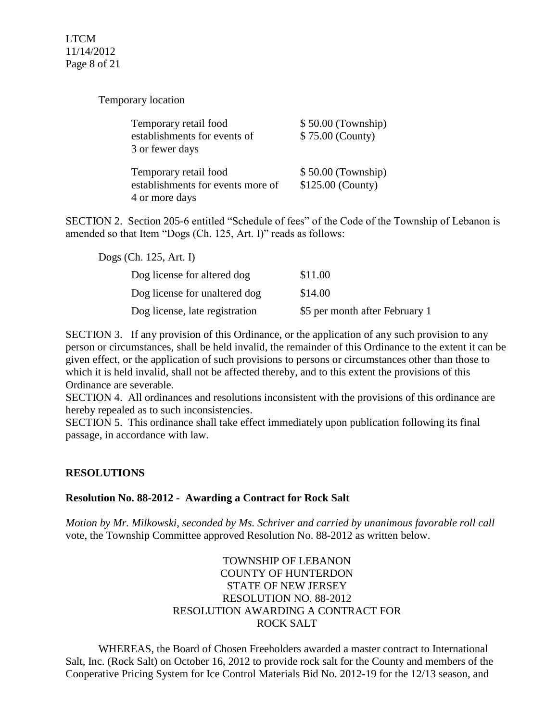LTCM 11/14/2012 Page 8 of 21

Temporary location

| Temporary retail food                           | \$50.00 (Township) |
|-------------------------------------------------|--------------------|
| establishments for events of<br>3 or fewer days | \$75.00 (County)   |
|                                                 |                    |
| Temporary retail food                           | \$50.00 (Township) |
| establishments for events more of               | \$125.00 (County)  |
| 4 or more days                                  |                    |

SECTION 2. Section 205-6 entitled "Schedule of fees" of the Code of the Township of Lebanon is amended so that Item "Dogs (Ch. 125, Art. I)" reads as follows:

| Dogs (Ch. 125, Art. I)         |                                |
|--------------------------------|--------------------------------|
| Dog license for altered dog    | \$11.00                        |
| Dog license for unaltered dog  | \$14.00                        |
| Dog license, late registration | \$5 per month after February 1 |

SECTION 3. If any provision of this Ordinance, or the application of any such provision to any person or circumstances, shall be held invalid, the remainder of this Ordinance to the extent it can be given effect, or the application of such provisions to persons or circumstances other than those to which it is held invalid, shall not be affected thereby, and to this extent the provisions of this Ordinance are severable.

SECTION 4. All ordinances and resolutions inconsistent with the provisions of this ordinance are hereby repealed as to such inconsistencies.

SECTION 5. This ordinance shall take effect immediately upon publication following its final passage, in accordance with law.

# **RESOLUTIONS**

### **Resolution No. 88-2012 - Awarding a Contract for Rock Salt**

*Motion by Mr. Milkowski, seconded by Ms. Schriver and carried by unanimous favorable roll call*  vote, the Township Committee approved Resolution No. 88-2012 as written below.

> TOWNSHIP OF LEBANON COUNTY OF HUNTERDON STATE OF NEW JERSEY RESOLUTION NO. 88-2012 RESOLUTION AWARDING A CONTRACT FOR ROCK SALT

WHEREAS, the Board of Chosen Freeholders awarded a master contract to International Salt, Inc. (Rock Salt) on October 16, 2012 to provide rock salt for the County and members of the Cooperative Pricing System for Ice Control Materials Bid No. 2012-19 for the 12/13 season, and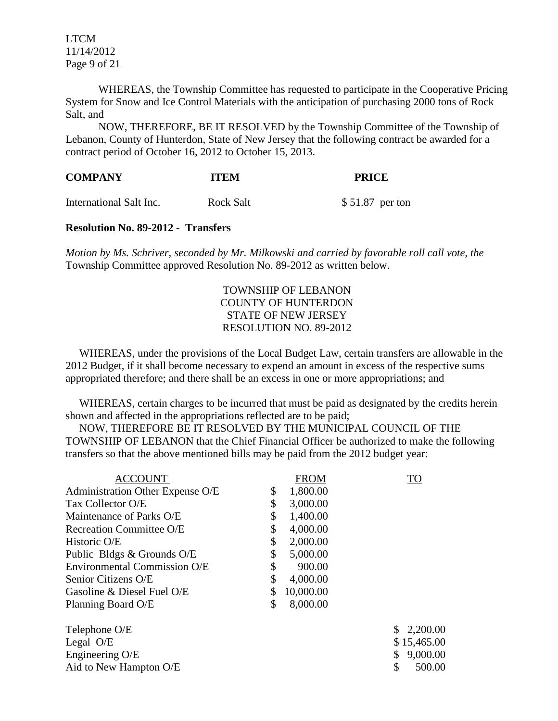LTCM 11/14/2012 Page 9 of 21

WHEREAS, the Township Committee has requested to participate in the Cooperative Pricing System for Snow and Ice Control Materials with the anticipation of purchasing 2000 tons of Rock Salt, and

NOW, THEREFORE, BE IT RESOLVED by the Township Committee of the Township of Lebanon, County of Hunterdon, State of New Jersey that the following contract be awarded for a contract period of October 16, 2012 to October 15, 2013.

| <b>COMPANY</b>          | <b>ITEM</b>      | <b>PRICE</b>     |
|-------------------------|------------------|------------------|
| International Salt Inc. | <b>Rock Salt</b> | $$51.87$ per ton |

#### **Resolution No. 89-2012 - Transfers**

*Motion by Ms. Schriver, seconded by Mr. Milkowski and carried by favorable roll call vote, the* Township Committee approved Resolution No. 89-2012 as written below.

## TOWNSHIP OF LEBANON COUNTY OF HUNTERDON STATE OF NEW JERSEY RESOLUTION NO. 89-2012

 WHEREAS, under the provisions of the Local Budget Law, certain transfers are allowable in the 2012 Budget, if it shall become necessary to expend an amount in excess of the respective sums appropriated therefore; and there shall be an excess in one or more appropriations; and

 WHEREAS, certain charges to be incurred that must be paid as designated by the credits herein shown and affected in the appropriations reflected are to be paid;

 NOW, THEREFORE BE IT RESOLVED BY THE MUNICIPAL COUNCIL OF THE TOWNSHIP OF LEBANON that the Chief Financial Officer be authorized to make the following transfers so that the above mentioned bills may be paid from the 2012 budget year:

| ACCOUNT                             | <b>FROM</b>     | TO           |
|-------------------------------------|-----------------|--------------|
| Administration Other Expense O/E    | \$<br>1,800.00  |              |
| Tax Collector O/E                   | \$<br>3,000.00  |              |
| Maintenance of Parks O/E            | \$<br>1,400.00  |              |
| <b>Recreation Committee O/E</b>     | \$<br>4,000.00  |              |
| Historic O/E                        | 2,000.00<br>\$  |              |
| Public Bldgs & Grounds O/E          | \$<br>5,000.00  |              |
| <b>Environmental Commission O/E</b> | \$<br>900.00    |              |
| Senior Citizens O/E                 | \$<br>4,000.00  |              |
| Gasoline & Diesel Fuel O/E          | 10,000.00<br>\$ |              |
| Planning Board O/E                  | \$<br>8,000.00  |              |
| Telephone O/E                       |                 | \$2,200.00   |
| Legal $O/E$                         |                 | \$15,465.00  |
| Engineering O/E                     |                 | 9,000.00     |
| Aid to New Hampton O/E              |                 | \$<br>500.00 |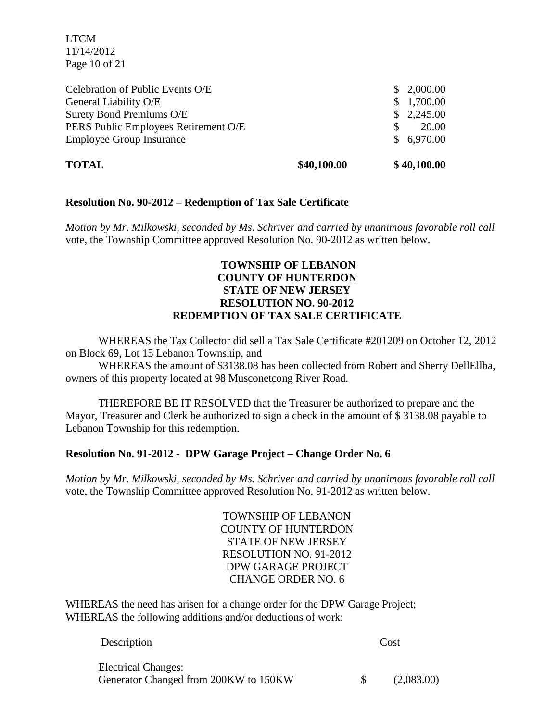LTCM 11/14/2012 Page 10 of 21

| <b>TOTAL</b>                         | \$40,100.00 | \$40,100.00       |
|--------------------------------------|-------------|-------------------|
| <b>Employee Group Insurance</b>      |             | \$6,970.00        |
| PERS Public Employees Retirement O/E |             | 20.00<br><b>S</b> |
| Surety Bond Premiums O/E             |             | \$2,245.00        |
| General Liability O/E                |             | \$1,700.00        |
| Celebration of Public Events O/E     |             | \$2,000.00        |

## **Resolution No. 90-2012 – Redemption of Tax Sale Certificate**

*Motion by Mr. Milkowski, seconded by Ms. Schriver and carried by unanimous favorable roll call*  vote, the Township Committee approved Resolution No. 90-2012 as written below.

### **TOWNSHIP OF LEBANON COUNTY OF HUNTERDON STATE OF NEW JERSEY RESOLUTION NO. 90-2012 REDEMPTION OF TAX SALE CERTIFICATE**

WHEREAS the Tax Collector did sell a Tax Sale Certificate #201209 on October 12, 2012 on Block 69, Lot 15 Lebanon Township, and

WHEREAS the amount of \$3138.08 has been collected from Robert and Sherry DellEllba, owners of this property located at 98 Musconetcong River Road.

THEREFORE BE IT RESOLVED that the Treasurer be authorized to prepare and the Mayor, Treasurer and Clerk be authorized to sign a check in the amount of \$ 3138.08 payable to Lebanon Township for this redemption.

#### **Resolution No. 91-2012 - DPW Garage Project – Change Order No. 6**

*Motion by Mr. Milkowski, seconded by Ms. Schriver and carried by unanimous favorable roll call*  vote, the Township Committee approved Resolution No. 91-2012 as written below.

> TOWNSHIP OF LEBANON COUNTY OF HUNTERDON STATE OF NEW JERSEY RESOLUTION NO. 91-2012 DPW GARAGE PROJECT CHANGE ORDER NO. 6

WHEREAS the need has arisen for a change order for the DPW Garage Project; WHEREAS the following additions and/or deductions of work:

Description Cost

| <b>Electrical Changes:</b>            |            |
|---------------------------------------|------------|
| Generator Changed from 200KW to 150KW | (2,083.00) |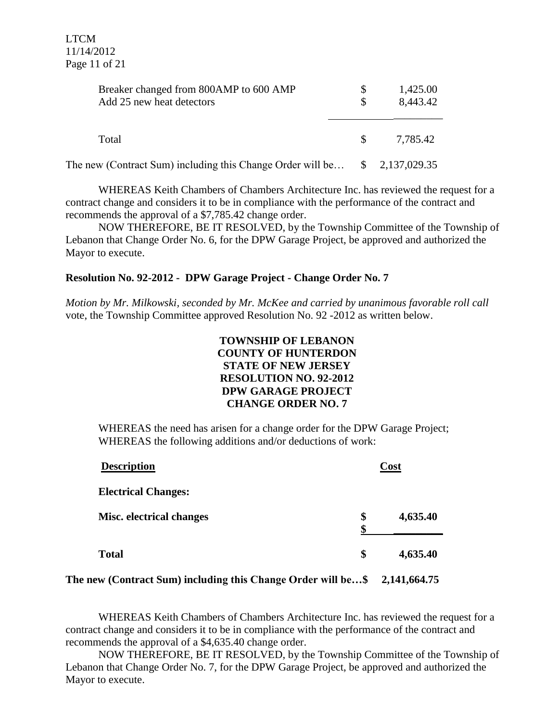| Breaker changed from 800AMP to 600 AMP<br>Add 25 new heat detectors |              | 1,425.00<br>8,443.42         |
|---------------------------------------------------------------------|--------------|------------------------------|
| Total                                                               | <sup>S</sup> | 7,785.42                     |
| The new (Contract Sum) including this Change Order will be          |              | $\frac{1}{2}$ , 2,137,029.35 |

WHEREAS Keith Chambers of Chambers Architecture Inc. has reviewed the request for a contract change and considers it to be in compliance with the performance of the contract and recommends the approval of a \$7,785.42 change order.

NOW THEREFORE, BE IT RESOLVED, by the Township Committee of the Township of Lebanon that Change Order No. 6, for the DPW Garage Project, be approved and authorized the Mayor to execute.

### **Resolution No. 92-2012 - DPW Garage Project - Change Order No. 7**

*Motion by Mr. Milkowski, seconded by Mr. McKee and carried by unanimous favorable roll call*  vote, the Township Committee approved Resolution No. 92 -2012 as written below.

| <b>TOWNSHIP OF LEBANON</b>    |
|-------------------------------|
| <b>COUNTY OF HUNTERDON</b>    |
| <b>STATE OF NEW JERSEY</b>    |
| <b>RESOLUTION NO. 92-2012</b> |
| <b>DPW GARAGE PROJECT</b>     |
| <b>CHANGE ORDER NO. 7</b>     |

WHEREAS the need has arisen for a change order for the DPW Garage Project; WHEREAS the following additions and/or deductions of work:

| <b>Description</b>         |          | Cost     |  |
|----------------------------|----------|----------|--|
| <b>Electrical Changes:</b> |          |          |  |
| Misc. electrical changes   | \$<br>\$ | 4,635.40 |  |
| <b>Total</b>               | \$       | 4,635.40 |  |

### **The new (Contract Sum) including this Change Order will be…\$ 2,141,664.75**

WHEREAS Keith Chambers of Chambers Architecture Inc. has reviewed the request for a contract change and considers it to be in compliance with the performance of the contract and recommends the approval of a \$4,635.40 change order.

NOW THEREFORE, BE IT RESOLVED, by the Township Committee of the Township of Lebanon that Change Order No. 7, for the DPW Garage Project, be approved and authorized the Mayor to execute.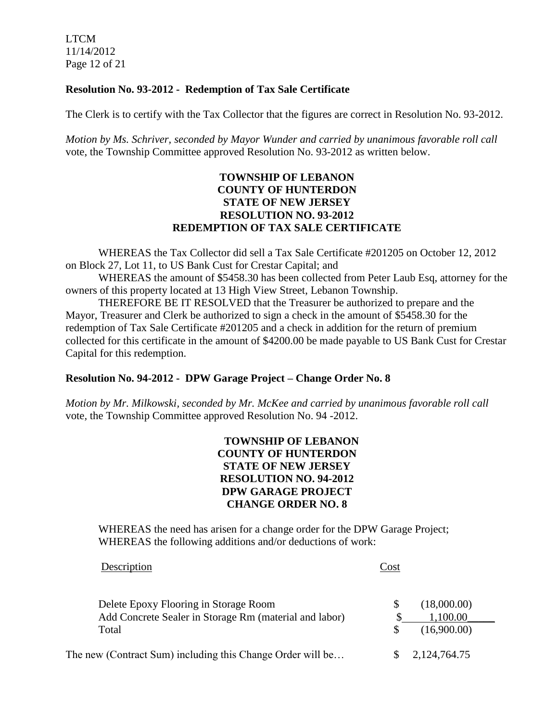LTCM 11/14/2012 Page 12 of 21

### **Resolution No. 93-2012 - Redemption of Tax Sale Certificate**

The Clerk is to certify with the Tax Collector that the figures are correct in Resolution No. 93-2012.

*Motion by Ms. Schriver, seconded by Mayor Wunder and carried by unanimous favorable roll call*  vote, the Township Committee approved Resolution No. 93-2012 as written below.

### **TOWNSHIP OF LEBANON COUNTY OF HUNTERDON STATE OF NEW JERSEY RESOLUTION NO. 93-2012 REDEMPTION OF TAX SALE CERTIFICATE**

WHEREAS the Tax Collector did sell a Tax Sale Certificate #201205 on October 12, 2012 on Block 27, Lot 11, to US Bank Cust for Crestar Capital; and

WHEREAS the amount of \$5458.30 has been collected from Peter Laub Esq, attorney for the owners of this property located at 13 High View Street, Lebanon Township.

THEREFORE BE IT RESOLVED that the Treasurer be authorized to prepare and the Mayor, Treasurer and Clerk be authorized to sign a check in the amount of \$5458.30 for the redemption of Tax Sale Certificate #201205 and a check in addition for the return of premium collected for this certificate in the amount of \$4200.00 be made payable to US Bank Cust for Crestar Capital for this redemption.

# **Resolution No. 94-2012 - DPW Garage Project – Change Order No. 8**

*Motion by Mr. Milkowski, seconded by Mr. McKee and carried by unanimous favorable roll call*  vote*,* the Township Committee approved Resolution No. 94 -2012.

# **TOWNSHIP OF LEBANON COUNTY OF HUNTERDON STATE OF NEW JERSEY RESOLUTION NO. 94-2012 DPW GARAGE PROJECT CHANGE ORDER NO. 8**

WHEREAS the need has arisen for a change order for the DPW Garage Project; WHEREAS the following additions and/or deductions of work:

| Description                                                                                     | $\mathop{\rm Cost}\nolimits$ |                         |
|-------------------------------------------------------------------------------------------------|------------------------------|-------------------------|
| Delete Epoxy Flooring in Storage Room<br>Add Concrete Sealer in Storage Rm (material and labor) |                              | (18,000.00)<br>1,100.00 |
| Total                                                                                           |                              | (16,900.00)             |
| The new (Contract Sum) including this Change Order will be                                      |                              | 2, 124, 764. 75         |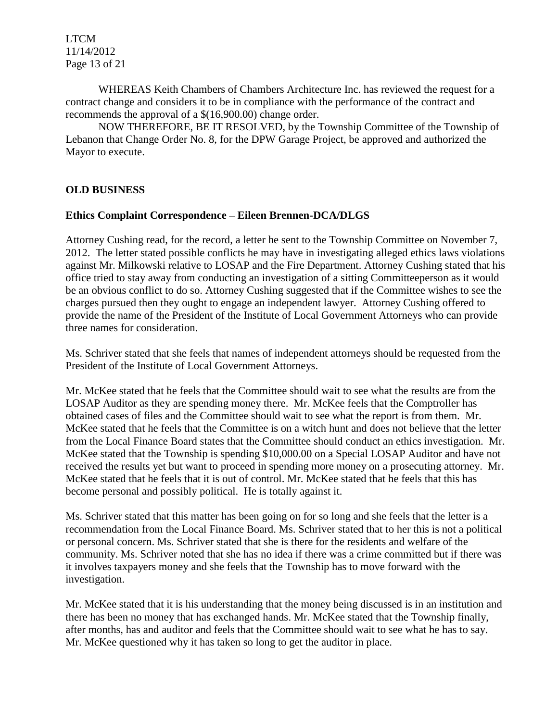LTCM 11/14/2012 Page 13 of 21

WHEREAS Keith Chambers of Chambers Architecture Inc. has reviewed the request for a contract change and considers it to be in compliance with the performance of the contract and recommends the approval of a \$(16,900.00) change order.

NOW THEREFORE, BE IT RESOLVED, by the Township Committee of the Township of Lebanon that Change Order No. 8, for the DPW Garage Project, be approved and authorized the Mayor to execute.

### **OLD BUSINESS**

### **Ethics Complaint Correspondence – Eileen Brennen-DCA/DLGS**

Attorney Cushing read, for the record, a letter he sent to the Township Committee on November 7, 2012. The letter stated possible conflicts he may have in investigating alleged ethics laws violations against Mr. Milkowski relative to LOSAP and the Fire Department. Attorney Cushing stated that his office tried to stay away from conducting an investigation of a sitting Committeeperson as it would be an obvious conflict to do so. Attorney Cushing suggested that if the Committee wishes to see the charges pursued then they ought to engage an independent lawyer. Attorney Cushing offered to provide the name of the President of the Institute of Local Government Attorneys who can provide three names for consideration.

Ms. Schriver stated that she feels that names of independent attorneys should be requested from the President of the Institute of Local Government Attorneys.

Mr. McKee stated that he feels that the Committee should wait to see what the results are from the LOSAP Auditor as they are spending money there. Mr. McKee feels that the Comptroller has obtained cases of files and the Committee should wait to see what the report is from them. Mr. McKee stated that he feels that the Committee is on a witch hunt and does not believe that the letter from the Local Finance Board states that the Committee should conduct an ethics investigation. Mr. McKee stated that the Township is spending \$10,000.00 on a Special LOSAP Auditor and have not received the results yet but want to proceed in spending more money on a prosecuting attorney. Mr. McKee stated that he feels that it is out of control. Mr. McKee stated that he feels that this has become personal and possibly political. He is totally against it.

Ms. Schriver stated that this matter has been going on for so long and she feels that the letter is a recommendation from the Local Finance Board. Ms. Schriver stated that to her this is not a political or personal concern. Ms. Schriver stated that she is there for the residents and welfare of the community. Ms. Schriver noted that she has no idea if there was a crime committed but if there was it involves taxpayers money and she feels that the Township has to move forward with the investigation.

Mr. McKee stated that it is his understanding that the money being discussed is in an institution and there has been no money that has exchanged hands. Mr. McKee stated that the Township finally, after months, has and auditor and feels that the Committee should wait to see what he has to say. Mr. McKee questioned why it has taken so long to get the auditor in place.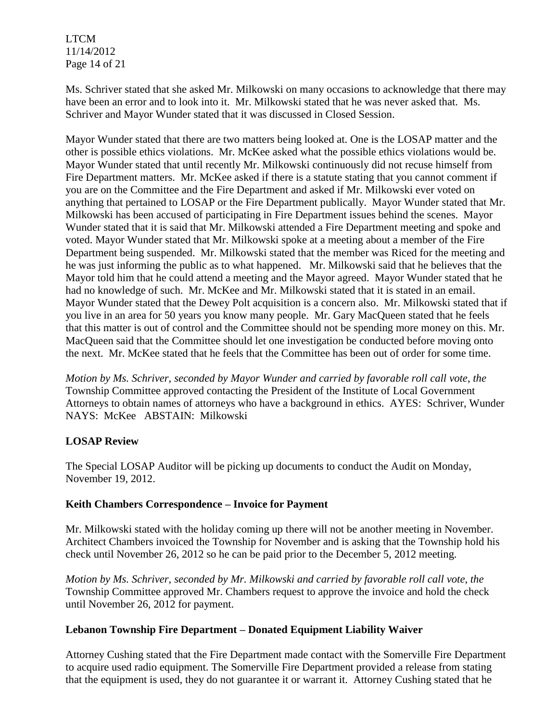LTCM 11/14/2012 Page 14 of 21

Ms. Schriver stated that she asked Mr. Milkowski on many occasions to acknowledge that there may have been an error and to look into it. Mr. Milkowski stated that he was never asked that. Ms. Schriver and Mayor Wunder stated that it was discussed in Closed Session.

Mayor Wunder stated that there are two matters being looked at. One is the LOSAP matter and the other is possible ethics violations. Mr. McKee asked what the possible ethics violations would be. Mayor Wunder stated that until recently Mr. Milkowski continuously did not recuse himself from Fire Department matters. Mr. McKee asked if there is a statute stating that you cannot comment if you are on the Committee and the Fire Department and asked if Mr. Milkowski ever voted on anything that pertained to LOSAP or the Fire Department publically. Mayor Wunder stated that Mr. Milkowski has been accused of participating in Fire Department issues behind the scenes. Mayor Wunder stated that it is said that Mr. Milkowski attended a Fire Department meeting and spoke and voted. Mayor Wunder stated that Mr. Milkowski spoke at a meeting about a member of the Fire Department being suspended. Mr. Milkowski stated that the member was Riced for the meeting and he was just informing the public as to what happened. Mr. Milkowski said that he believes that the Mayor told him that he could attend a meeting and the Mayor agreed. Mayor Wunder stated that he had no knowledge of such. Mr. McKee and Mr. Milkowski stated that it is stated in an email. Mayor Wunder stated that the Dewey Polt acquisition is a concern also. Mr. Milkowski stated that if you live in an area for 50 years you know many people. Mr. Gary MacQueen stated that he feels that this matter is out of control and the Committee should not be spending more money on this. Mr. MacQueen said that the Committee should let one investigation be conducted before moving onto the next. Mr. McKee stated that he feels that the Committee has been out of order for some time.

*Motion by Ms. Schriver, seconded by Mayor Wunder and carried by favorable roll call vote*, *the* Township Committee approved contacting the President of the Institute of Local Government Attorneys to obtain names of attorneys who have a background in ethics. AYES: Schriver, Wunder NAYS: McKee ABSTAIN: Milkowski

# **LOSAP Review**

The Special LOSAP Auditor will be picking up documents to conduct the Audit on Monday, November 19, 2012.

# **Keith Chambers Correspondence – Invoice for Payment**

Mr. Milkowski stated with the holiday coming up there will not be another meeting in November. Architect Chambers invoiced the Township for November and is asking that the Township hold his check until November 26, 2012 so he can be paid prior to the December 5, 2012 meeting.

*Motion by Ms. Schriver, seconded by Mr. Milkowski and carried by favorable roll call vote*, *the* Township Committee approved Mr. Chambers request to approve the invoice and hold the check until November 26, 2012 for payment.

# **Lebanon Township Fire Department – Donated Equipment Liability Waiver**

Attorney Cushing stated that the Fire Department made contact with the Somerville Fire Department to acquire used radio equipment. The Somerville Fire Department provided a release from stating that the equipment is used, they do not guarantee it or warrant it. Attorney Cushing stated that he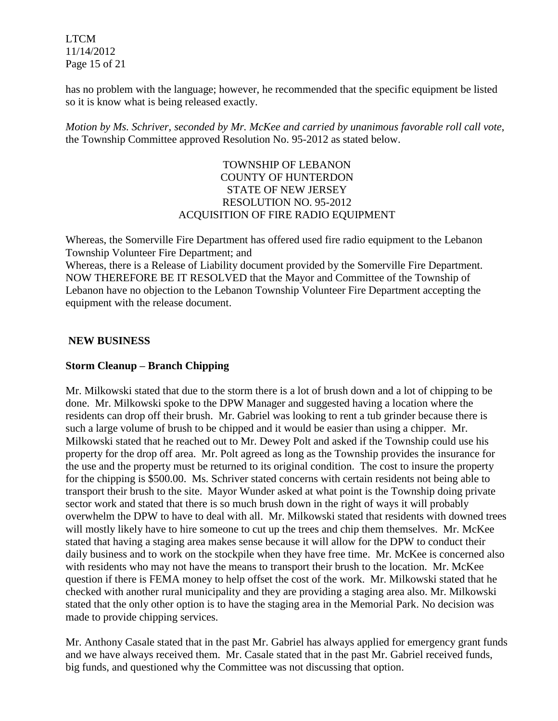LTCM 11/14/2012 Page 15 of 21

has no problem with the language; however, he recommended that the specific equipment be listed so it is know what is being released exactly.

*Motion by Ms. Schriver, seconded by Mr. McKee and carried by unanimous favorable roll call vote*, the Township Committee approved Resolution No. 95-2012 as stated below.

## TOWNSHIP OF LEBANON COUNTY OF HUNTERDON STATE OF NEW JERSEY RESOLUTION NO. 95-2012 ACQUISITION OF FIRE RADIO EQUIPMENT

Whereas, the Somerville Fire Department has offered used fire radio equipment to the Lebanon Township Volunteer Fire Department; and

Whereas, there is a Release of Liability document provided by the Somerville Fire Department. NOW THEREFORE BE IT RESOLVED that the Mayor and Committee of the Township of Lebanon have no objection to the Lebanon Township Volunteer Fire Department accepting the equipment with the release document.

# **NEW BUSINESS**

# **Storm Cleanup – Branch Chipping**

Mr. Milkowski stated that due to the storm there is a lot of brush down and a lot of chipping to be done. Mr. Milkowski spoke to the DPW Manager and suggested having a location where the residents can drop off their brush. Mr. Gabriel was looking to rent a tub grinder because there is such a large volume of brush to be chipped and it would be easier than using a chipper. Mr. Milkowski stated that he reached out to Mr. Dewey Polt and asked if the Township could use his property for the drop off area. Mr. Polt agreed as long as the Township provides the insurance for the use and the property must be returned to its original condition. The cost to insure the property for the chipping is \$500.00. Ms. Schriver stated concerns with certain residents not being able to transport their brush to the site. Mayor Wunder asked at what point is the Township doing private sector work and stated that there is so much brush down in the right of ways it will probably overwhelm the DPW to have to deal with all. Mr. Milkowski stated that residents with downed trees will mostly likely have to hire someone to cut up the trees and chip them themselves. Mr. McKee stated that having a staging area makes sense because it will allow for the DPW to conduct their daily business and to work on the stockpile when they have free time. Mr. McKee is concerned also with residents who may not have the means to transport their brush to the location. Mr. McKee question if there is FEMA money to help offset the cost of the work. Mr. Milkowski stated that he checked with another rural municipality and they are providing a staging area also. Mr. Milkowski stated that the only other option is to have the staging area in the Memorial Park. No decision was made to provide chipping services.

Mr. Anthony Casale stated that in the past Mr. Gabriel has always applied for emergency grant funds and we have always received them. Mr. Casale stated that in the past Mr. Gabriel received funds, big funds, and questioned why the Committee was not discussing that option.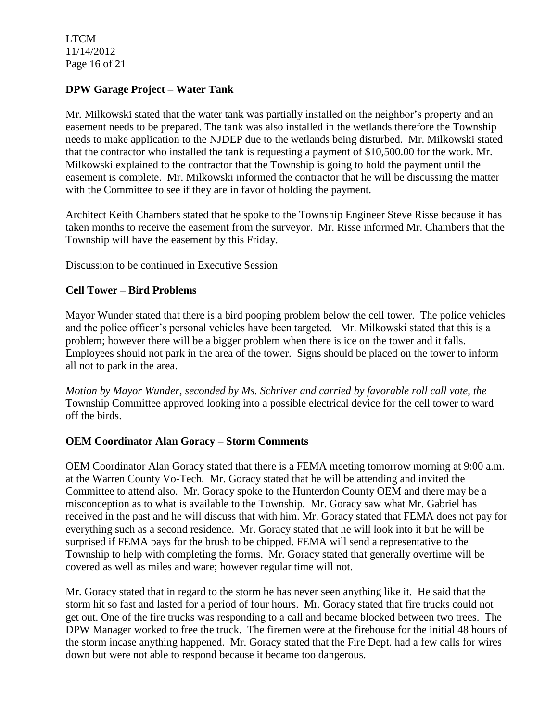LTCM 11/14/2012 Page 16 of 21

## **DPW Garage Project – Water Tank**

Mr. Milkowski stated that the water tank was partially installed on the neighbor's property and an easement needs to be prepared. The tank was also installed in the wetlands therefore the Township needs to make application to the NJDEP due to the wetlands being disturbed. Mr. Milkowski stated that the contractor who installed the tank is requesting a payment of \$10,500.00 for the work. Mr. Milkowski explained to the contractor that the Township is going to hold the payment until the easement is complete. Mr. Milkowski informed the contractor that he will be discussing the matter with the Committee to see if they are in favor of holding the payment.

Architect Keith Chambers stated that he spoke to the Township Engineer Steve Risse because it has taken months to receive the easement from the surveyor. Mr. Risse informed Mr. Chambers that the Township will have the easement by this Friday.

Discussion to be continued in Executive Session

### **Cell Tower – Bird Problems**

Mayor Wunder stated that there is a bird pooping problem below the cell tower. The police vehicles and the police officer's personal vehicles have been targeted. Mr. Milkowski stated that this is a problem; however there will be a bigger problem when there is ice on the tower and it falls. Employees should not park in the area of the tower. Signs should be placed on the tower to inform all not to park in the area.

*Motion by Mayor Wunder, seconded by Ms. Schriver and carried by favorable roll call vote*, *the* Township Committee approved looking into a possible electrical device for the cell tower to ward off the birds.

### **OEM Coordinator Alan Goracy – Storm Comments**

OEM Coordinator Alan Goracy stated that there is a FEMA meeting tomorrow morning at 9:00 a.m. at the Warren County Vo-Tech. Mr. Goracy stated that he will be attending and invited the Committee to attend also. Mr. Goracy spoke to the Hunterdon County OEM and there may be a misconception as to what is available to the Township. Mr. Goracy saw what Mr. Gabriel has received in the past and he will discuss that with him. Mr. Goracy stated that FEMA does not pay for everything such as a second residence. Mr. Goracy stated that he will look into it but he will be surprised if FEMA pays for the brush to be chipped. FEMA will send a representative to the Township to help with completing the forms. Mr. Goracy stated that generally overtime will be covered as well as miles and ware; however regular time will not.

Mr. Goracy stated that in regard to the storm he has never seen anything like it. He said that the storm hit so fast and lasted for a period of four hours. Mr. Goracy stated that fire trucks could not get out. One of the fire trucks was responding to a call and became blocked between two trees. The DPW Manager worked to free the truck. The firemen were at the firehouse for the initial 48 hours of the storm incase anything happened. Mr. Goracy stated that the Fire Dept. had a few calls for wires down but were not able to respond because it became too dangerous.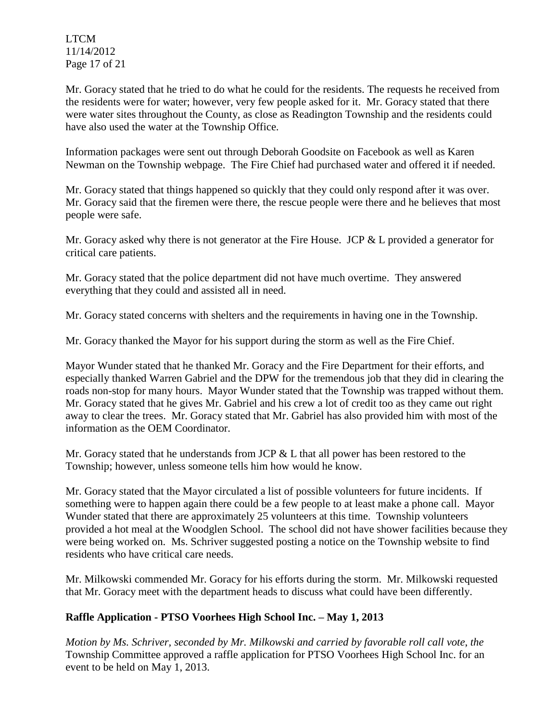LTCM 11/14/2012 Page 17 of 21

Mr. Goracy stated that he tried to do what he could for the residents. The requests he received from the residents were for water; however, very few people asked for it. Mr. Goracy stated that there were water sites throughout the County, as close as Readington Township and the residents could have also used the water at the Township Office.

Information packages were sent out through Deborah Goodsite on Facebook as well as Karen Newman on the Township webpage. The Fire Chief had purchased water and offered it if needed.

Mr. Goracy stated that things happened so quickly that they could only respond after it was over. Mr. Goracy said that the firemen were there, the rescue people were there and he believes that most people were safe.

Mr. Goracy asked why there is not generator at the Fire House. JCP & L provided a generator for critical care patients.

Mr. Goracy stated that the police department did not have much overtime. They answered everything that they could and assisted all in need.

Mr. Goracy stated concerns with shelters and the requirements in having one in the Township.

Mr. Goracy thanked the Mayor for his support during the storm as well as the Fire Chief.

Mayor Wunder stated that he thanked Mr. Goracy and the Fire Department for their efforts, and especially thanked Warren Gabriel and the DPW for the tremendous job that they did in clearing the roads non-stop for many hours. Mayor Wunder stated that the Township was trapped without them. Mr. Goracy stated that he gives Mr. Gabriel and his crew a lot of credit too as they came out right away to clear the trees. Mr. Goracy stated that Mr. Gabriel has also provided him with most of the information as the OEM Coordinator.

Mr. Goracy stated that he understands from JCP & L that all power has been restored to the Township; however, unless someone tells him how would he know.

Mr. Goracy stated that the Mayor circulated a list of possible volunteers for future incidents. If something were to happen again there could be a few people to at least make a phone call. Mayor Wunder stated that there are approximately 25 volunteers at this time. Township volunteers provided a hot meal at the Woodglen School. The school did not have shower facilities because they were being worked on. Ms. Schriver suggested posting a notice on the Township website to find residents who have critical care needs.

Mr. Milkowski commended Mr. Goracy for his efforts during the storm. Mr. Milkowski requested that Mr. Goracy meet with the department heads to discuss what could have been differently.

# **Raffle Application - PTSO Voorhees High School Inc. – May 1, 2013**

*Motion by Ms. Schriver, seconded by Mr. Milkowski and carried by favorable roll call vote*, *the* Township Committee approved a raffle application for PTSO Voorhees High School Inc. for an event to be held on May 1, 2013.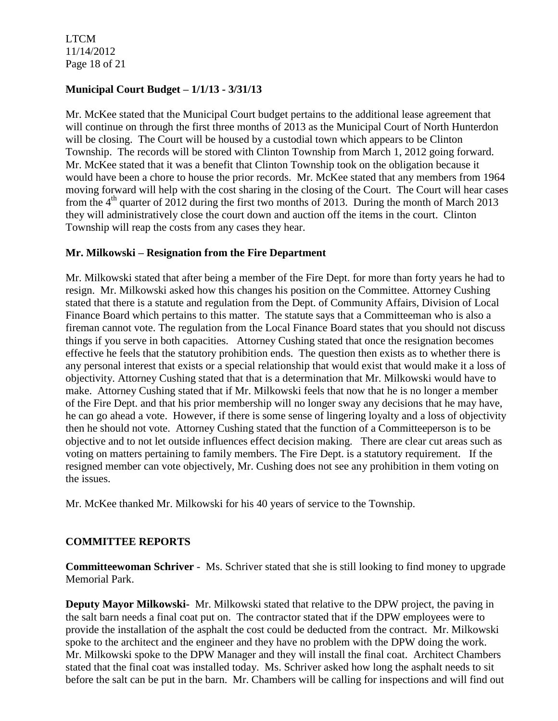LTCM 11/14/2012 Page 18 of 21

# **Municipal Court Budget – 1/1/13 - 3/31/13**

Mr. McKee stated that the Municipal Court budget pertains to the additional lease agreement that will continue on through the first three months of 2013 as the Municipal Court of North Hunterdon will be closing. The Court will be housed by a custodial town which appears to be Clinton Township. The records will be stored with Clinton Township from March 1, 2012 going forward. Mr. McKee stated that it was a benefit that Clinton Township took on the obligation because it would have been a chore to house the prior records. Mr. McKee stated that any members from 1964 moving forward will help with the cost sharing in the closing of the Court. The Court will hear cases from the  $4<sup>th</sup>$  quarter of 2012 during the first two months of 2013. During the month of March 2013 they will administratively close the court down and auction off the items in the court. Clinton Township will reap the costs from any cases they hear.

# **Mr. Milkowski – Resignation from the Fire Department**

Mr. Milkowski stated that after being a member of the Fire Dept. for more than forty years he had to resign. Mr. Milkowski asked how this changes his position on the Committee. Attorney Cushing stated that there is a statute and regulation from the Dept. of Community Affairs, Division of Local Finance Board which pertains to this matter. The statute says that a Committeeman who is also a fireman cannot vote. The regulation from the Local Finance Board states that you should not discuss things if you serve in both capacities. Attorney Cushing stated that once the resignation becomes effective he feels that the statutory prohibition ends. The question then exists as to whether there is any personal interest that exists or a special relationship that would exist that would make it a loss of objectivity. Attorney Cushing stated that that is a determination that Mr. Milkowski would have to make. Attorney Cushing stated that if Mr. Milkowski feels that now that he is no longer a member of the Fire Dept. and that his prior membership will no longer sway any decisions that he may have, he can go ahead a vote. However, if there is some sense of lingering loyalty and a loss of objectivity then he should not vote. Attorney Cushing stated that the function of a Committeeperson is to be objective and to not let outside influences effect decision making. There are clear cut areas such as voting on matters pertaining to family members. The Fire Dept. is a statutory requirement. If the resigned member can vote objectively, Mr. Cushing does not see any prohibition in them voting on the issues.

Mr. McKee thanked Mr. Milkowski for his 40 years of service to the Township.

# **COMMITTEE REPORTS**

**Committeewoman Schriver** - Ms. Schriver stated that she is still looking to find money to upgrade Memorial Park.

**Deputy Mayor Milkowski-** Mr. Milkowski stated that relative to the DPW project, the paving in the salt barn needs a final coat put on. The contractor stated that if the DPW employees were to provide the installation of the asphalt the cost could be deducted from the contract. Mr. Milkowski spoke to the architect and the engineer and they have no problem with the DPW doing the work. Mr. Milkowski spoke to the DPW Manager and they will install the final coat. Architect Chambers stated that the final coat was installed today. Ms. Schriver asked how long the asphalt needs to sit before the salt can be put in the barn. Mr. Chambers will be calling for inspections and will find out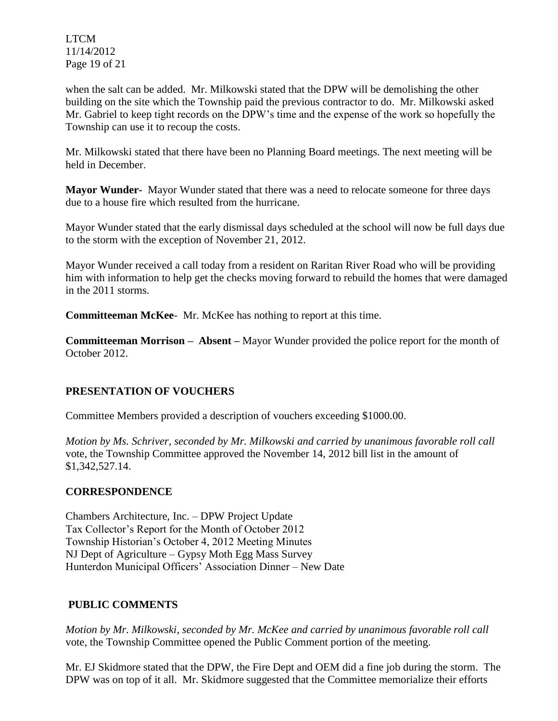LTCM 11/14/2012 Page 19 of 21

when the salt can be added. Mr. Milkowski stated that the DPW will be demolishing the other building on the site which the Township paid the previous contractor to do. Mr. Milkowski asked Mr. Gabriel to keep tight records on the DPW's time and the expense of the work so hopefully the Township can use it to recoup the costs.

Mr. Milkowski stated that there have been no Planning Board meetings. The next meeting will be held in December.

**Mayor Wunder-** Mayor Wunder stated that there was a need to relocate someone for three days due to a house fire which resulted from the hurricane.

Mayor Wunder stated that the early dismissal days scheduled at the school will now be full days due to the storm with the exception of November 21, 2012.

Mayor Wunder received a call today from a resident on Raritan River Road who will be providing him with information to help get the checks moving forward to rebuild the homes that were damaged in the 2011 storms.

**Committeeman McKee**- Mr. McKee has nothing to report at this time.

**Committeeman Morrison – Absent –** Mayor Wunder provided the police report for the month of October 2012.

# **PRESENTATION OF VOUCHERS**

Committee Members provided a description of vouchers exceeding \$1000.00.

*Motion by Ms. Schriver, seconded by Mr. Milkowski and carried by unanimous favorable roll call*  vote, the Township Committee approved the November 14, 2012 bill list in the amount of \$1,342,527.14.

# **CORRESPONDENCE**

Chambers Architecture, Inc. – DPW Project Update Tax Collector's Report for the Month of October 2012 Township Historian's October 4, 2012 Meeting Minutes NJ Dept of Agriculture – Gypsy Moth Egg Mass Survey Hunterdon Municipal Officers' Association Dinner – New Date

# **PUBLIC COMMENTS**

*Motion by Mr. Milkowski, seconded by Mr. McKee and carried by unanimous favorable roll call*  vote, the Township Committee opened the Public Comment portion of the meeting.

Mr. EJ Skidmore stated that the DPW, the Fire Dept and OEM did a fine job during the storm. The DPW was on top of it all. Mr. Skidmore suggested that the Committee memorialize their efforts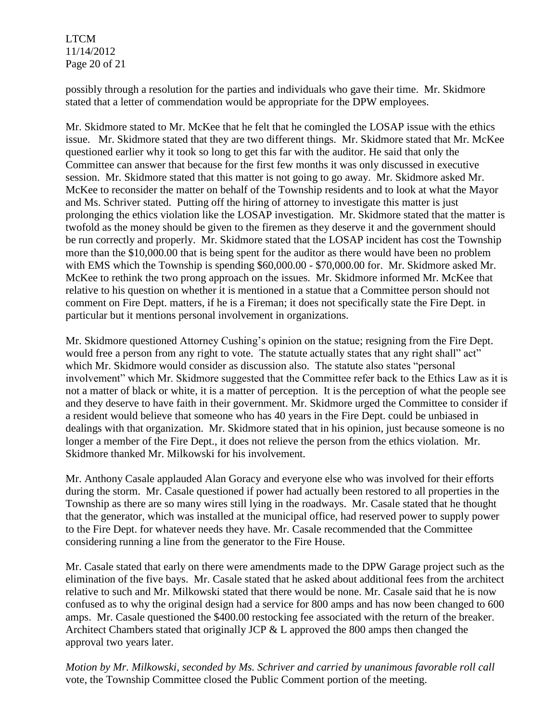LTCM 11/14/2012 Page 20 of 21

possibly through a resolution for the parties and individuals who gave their time. Mr. Skidmore stated that a letter of commendation would be appropriate for the DPW employees.

Mr. Skidmore stated to Mr. McKee that he felt that he comingled the LOSAP issue with the ethics issue. Mr. Skidmore stated that they are two different things. Mr. Skidmore stated that Mr. McKee questioned earlier why it took so long to get this far with the auditor. He said that only the Committee can answer that because for the first few months it was only discussed in executive session. Mr. Skidmore stated that this matter is not going to go away. Mr. Skidmore asked Mr. McKee to reconsider the matter on behalf of the Township residents and to look at what the Mayor and Ms. Schriver stated. Putting off the hiring of attorney to investigate this matter is just prolonging the ethics violation like the LOSAP investigation. Mr. Skidmore stated that the matter is twofold as the money should be given to the firemen as they deserve it and the government should be run correctly and properly. Mr. Skidmore stated that the LOSAP incident has cost the Township more than the \$10,000.00 that is being spent for the auditor as there would have been no problem with EMS which the Township is spending \$60,000.00 - \$70,000.00 for. Mr. Skidmore asked Mr. McKee to rethink the two prong approach on the issues. Mr. Skidmore informed Mr. McKee that relative to his question on whether it is mentioned in a statue that a Committee person should not comment on Fire Dept. matters, if he is a Fireman; it does not specifically state the Fire Dept. in particular but it mentions personal involvement in organizations.

Mr. Skidmore questioned Attorney Cushing's opinion on the statue; resigning from the Fire Dept. would free a person from any right to vote. The statute actually states that any right shall" act" which Mr. Skidmore would consider as discussion also. The statute also states "personal involvement" which Mr. Skidmore suggested that the Committee refer back to the Ethics Law as it is not a matter of black or white, it is a matter of perception. It is the perception of what the people see and they deserve to have faith in their government. Mr. Skidmore urged the Committee to consider if a resident would believe that someone who has 40 years in the Fire Dept. could be unbiased in dealings with that organization. Mr. Skidmore stated that in his opinion, just because someone is no longer a member of the Fire Dept., it does not relieve the person from the ethics violation. Mr. Skidmore thanked Mr. Milkowski for his involvement.

Mr. Anthony Casale applauded Alan Goracy and everyone else who was involved for their efforts during the storm. Mr. Casale questioned if power had actually been restored to all properties in the Township as there are so many wires still lying in the roadways. Mr. Casale stated that he thought that the generator, which was installed at the municipal office, had reserved power to supply power to the Fire Dept. for whatever needs they have. Mr. Casale recommended that the Committee considering running a line from the generator to the Fire House.

Mr. Casale stated that early on there were amendments made to the DPW Garage project such as the elimination of the five bays. Mr. Casale stated that he asked about additional fees from the architect relative to such and Mr. Milkowski stated that there would be none. Mr. Casale said that he is now confused as to why the original design had a service for 800 amps and has now been changed to 600 amps. Mr. Casale questioned the \$400.00 restocking fee associated with the return of the breaker. Architect Chambers stated that originally JCP & L approved the 800 amps then changed the approval two years later.

*Motion by Mr. Milkowski, seconded by Ms. Schriver and carried by unanimous favorable roll call*  vote, the Township Committee closed the Public Comment portion of the meeting.